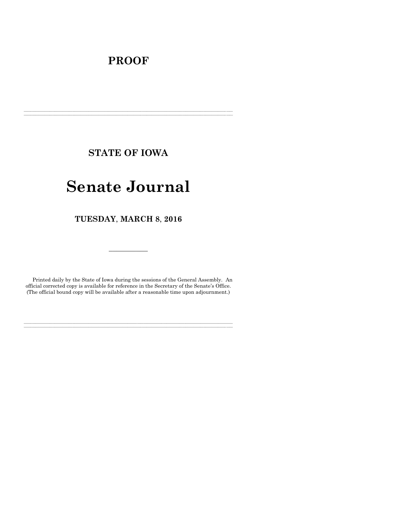## **PROOF**

**STATE OF IOWA**

**\_\_\_\_\_\_\_\_\_\_\_\_\_\_\_\_\_\_\_\_\_\_\_\_\_\_\_\_\_\_\_\_\_\_\_\_\_\_\_\_\_\_\_\_\_\_\_\_\_\_\_\_\_\_\_\_\_\_\_\_\_\_\_\_\_\_\_\_\_\_\_\_\_\_\_\_\_\_\_\_\_\_\_\_\_\_\_\_\_\_\_\_\_\_\_\_\_\_\_\_\_\_\_\_\_\_\_\_\_\_\_\_\_\_\_\_\_\_\_\_\_\_\_\_\_\_\_\_\_ \_\_\_\_\_\_\_\_\_\_\_\_\_\_\_\_\_\_\_\_\_\_\_\_\_\_\_\_\_\_\_\_\_\_\_\_\_\_\_\_\_\_\_\_\_\_\_\_\_\_\_\_\_\_\_\_\_\_\_\_\_\_\_\_\_\_\_\_\_\_\_\_\_\_\_\_\_\_\_\_\_\_\_\_\_\_\_\_\_\_\_\_\_\_\_\_\_\_\_\_\_\_\_\_\_\_\_\_\_\_\_\_\_\_\_\_\_\_\_\_\_\_\_\_\_\_\_\_\_**

# **Senate Journal**

**TUESDAY**, **MARCH 8**, **2016**

Printed daily by the State of Iowa during the sessions of the General Assembly. An official corrected copy is available for reference in the Secretary of the Senate's Office. (The official bound copy will be available after a reasonable time upon adjournment.)

**\_\_\_\_\_\_\_\_\_\_\_\_\_\_\_\_\_\_\_\_\_\_\_\_\_\_\_\_\_\_\_\_\_\_\_\_\_\_\_\_\_\_\_\_\_\_\_\_\_\_\_\_\_\_\_\_\_\_\_\_\_\_\_\_\_\_\_\_\_\_\_\_\_\_\_\_\_\_\_\_\_\_\_\_\_\_\_\_\_\_\_\_\_\_\_\_\_\_\_\_\_\_\_\_\_\_\_\_\_\_\_\_\_\_\_\_\_\_\_\_\_\_\_\_\_\_\_\_\_ \_\_\_\_\_\_\_\_\_\_\_\_\_\_\_\_\_\_\_\_\_\_\_\_\_\_\_\_\_\_\_\_\_\_\_\_\_\_\_\_\_\_\_\_\_\_\_\_\_\_\_\_\_\_\_\_\_\_\_\_\_\_\_\_\_\_\_\_\_\_\_\_\_\_\_\_\_\_\_\_\_\_\_\_\_\_\_\_\_\_\_\_\_\_\_\_\_\_\_\_\_\_\_\_\_\_\_\_\_\_\_\_\_\_\_\_\_\_\_\_\_\_\_\_\_\_\_\_\_**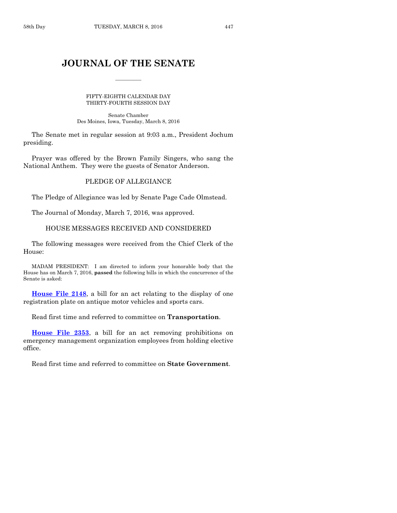### **JOURNAL OF THE SENATE**

 $\overline{\phantom{a}}$ 

#### FIFTY-EIGHTH CALENDAR DAY THIRTY-FOURTH SESSION DAY

Senate Chamber Des Moines, Iowa, Tuesday, March 8, 2016

The Senate met in regular session at 9:03 a.m., President Jochum presiding.

Prayer was offered by the Brown Family Singers, who sang the National Anthem. They were the guests of Senator Anderson.

#### PLEDGE OF ALLEGIANCE

The Pledge of Allegiance was led by Senate Page Cade Olmstead.

The Journal of Monday, March 7, 2016, was approved.

#### HOUSE MESSAGES RECEIVED AND CONSIDERED

The following messages were received from the Chief Clerk of the House:

MADAM PRESIDENT: I am directed to inform your honorable body that the House has on March 7, 2016, **passed** the following bills in which the concurrence of the Senate is asked:

**[House File 2148](http://coolice.legis.iowa.gov/Cool-ICE/default.asp?Category=billinfo&Service=Billbook&frame=1&GA=86&hbill=HF2148)**, a bill for an act relating to the display of one registration plate on antique motor vehicles and sports cars.

Read first time and referred to committee on **Transportation**.

**[House File 2353](http://coolice.legis.iowa.gov/Cool-ICE/default.asp?Category=billinfo&Service=Billbook&frame=1&GA=86&hbill=HF2353)**, a bill for an act removing prohibitions on emergency management organization employees from holding elective office.

Read first time and referred to committee on **State Government**.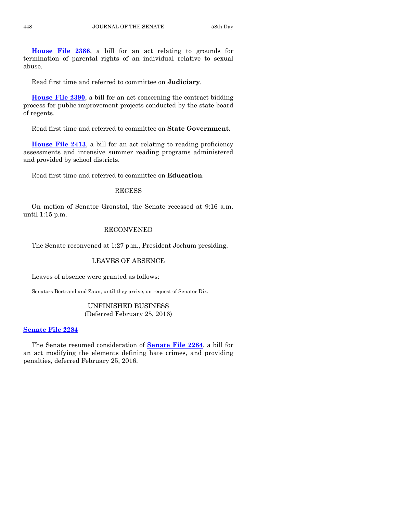**[House File 2386](http://coolice.legis.iowa.gov/Cool-ICE/default.asp?Category=billinfo&Service=Billbook&frame=1&GA=86&hbill=HF2386)**, a bill for an act relating to grounds for termination of parental rights of an individual relative to sexual abuse.

Read first time and referred to committee on **Judiciary**.

**[House File 2390](http://coolice.legis.iowa.gov/Cool-ICE/default.asp?Category=billinfo&Service=Billbook&frame=1&GA=86&hbill=HF2390)**, a bill for an act concerning the contract bidding process for public improvement projects conducted by the state board of regents.

Read first time and referred to committee on **State Government**.

**[House File 2413](http://coolice.legis.iowa.gov/Cool-ICE/default.asp?Category=billinfo&Service=Billbook&frame=1&GA=86&hbill=HF2413)**, a bill for an act relating to reading proficiency assessments and intensive summer reading programs administered and provided by school districts.

Read first time and referred to committee on **Education**.

#### RECESS

On motion of Senator Gronstal, the Senate recessed at 9:16 a.m. until 1:15 p.m.

#### RECONVENED

The Senate reconvened at 1:27 p.m., President Jochum presiding.

#### LEAVES OF ABSENCE

Leaves of absence were granted as follows:

Senators Bertrand and Zaun, until they arrive, on request of Senator Dix.

#### UNFINISHED BUSINESS (Deferred February 25, 2016)

#### **[Senate File 2284](http://coolice.legis.iowa.gov/Cool-ICE/default.asp?Category=billinfo&Service=Billbook&frame=1&GA=86&hbill=SF2284)**

The Senate resumed consideration of **[Senate File](http://coolice.legis.iowa.gov/Cool-ICE/default.asp?Category=billinfo&Service=Billbook&frame=1&GA=86&hbill=SF2284) 2284**, a bill for an act modifying the elements defining hate crimes, and providing penalties, deferred February 25, 2016.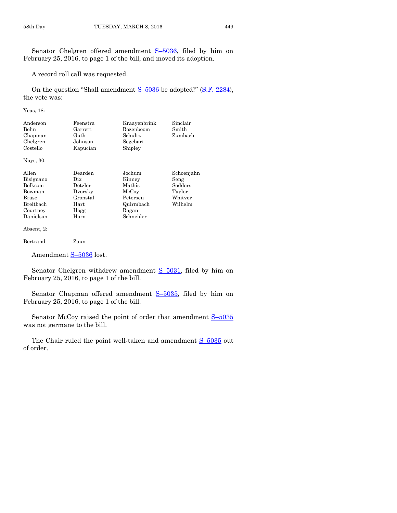Senator Chelgren offered amendment S–[5036,](http://coolice.legis.iowa.gov/Cool-ICE/default.asp?Category=billinfo&Service=Billbook&frame=1&GA=86&hbill=S5036) filed by him on February 25, 2016, to page 1 of the bill, and moved its adoption.

A record roll call was requested.

On the question "Shall amendment S–[5036](http://coolice.legis.iowa.gov/Cool-ICE/default.asp?Category=billinfo&Service=Billbook&frame=1&GA=86&hbill=S5036) be adopted?" [\(S.F. 2284\)](http://coolice.legis.iowa.gov/Cool-ICE/default.asp?Category=billinfo&Service=Billbook&frame=1&GA=86&hbill=SF2284), the vote was:

Yeas, 18:

| Anderson<br>Behn<br>Chapman<br>Chelgren<br>Costello | Feenstra<br>Garrett<br>Guth<br>Johnson<br>Kapucian                        | Kraayenbrink<br>Rozenboom<br>Schultz<br>Segebart<br>Shipley | Sinclair<br>Smith<br>Zumbach        |
|-----------------------------------------------------|---------------------------------------------------------------------------|-------------------------------------------------------------|-------------------------------------|
| Nays, 30:                                           |                                                                           |                                                             |                                     |
| Allen<br>Bisignano<br>T3.11                         | Dearden<br>$_{\rm \scriptscriptstyle Dix}$<br>$\mathbf{r}$ , $\mathbf{r}$ | Jochum<br>Kinney<br>1.7.1.1                                 | Schoenjahn<br>Seng<br>$\sim$ $\sim$ |

| pwighano   | $\cdots$ | 1111110 Y | $V = 15$ |
|------------|----------|-----------|----------|
| Bolkcom    | Dotzler  | Mathis    | Sodders  |
| Bowman     | Dvorsky  | McCoy     | Taylor   |
| Brase      | Gronstal | Petersen  | Whitver  |
| Breitbach  | Hart     | Quirmbach | Wilhelm  |
| Courtney   | Hogg     | Ragan     |          |
| Danielson  | Horn     | Schneider |          |
| Absent, 2: |          |           |          |

Bertrand Zaun

Amendment S-[5036](http://coolice.legis.iowa.gov/Cool-ICE/default.asp?Category=billinfo&Service=Billbook&frame=1&GA=86&hbill=S5036) lost.

Senator Chelgren withdrew amendment S-[5031,](http://coolice.legis.iowa.gov/Cool-ICE/default.asp?Category=billinfo&Service=Billbook&frame=1&GA=86&hbill=S5031) filed by him on February 25, 2016, to page 1 of the bill.

Senator Chapman offered amendment S–[5035,](http://coolice.legis.iowa.gov/Cool-ICE/default.asp?Category=billinfo&Service=Billbook&frame=1&GA=86&hbill=S5035) filed by him on February 25, 2016, to page 1 of the bill.

Senator McCoy raised the point of order that amendment  $S-5035$  $S-5035$ was not germane to the bill.

The Chair ruled the point well-taken and amendment  $S-5035$  $S-5035$  out of order.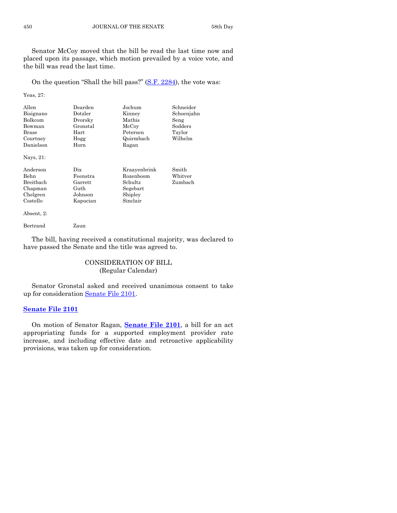Senator McCoy moved that the bill be read the last time now and placed upon its passage, which motion prevailed by a voice vote, and the bill was read the last time.

On the question "Shall the bill pass?" [\(S.F. 2284\)](http://coolice.legis.iowa.gov/Cool-ICE/default.asp?Category=billinfo&Service=Billbook&frame=1&GA=86&hbill=SF2284), the vote was:

Yeas, 27:

| Allen<br>Bisignano<br>Bolkcom<br>Bowman | Dearden<br>Dotzler<br>Dvorsky<br>Gronstal | Jochum<br>Kinney<br>Mathis<br>McCoy | Schneider<br>Schoenjahn<br>Seng<br>Sodders |
|-----------------------------------------|-------------------------------------------|-------------------------------------|--------------------------------------------|
| Brase                                   | Hart                                      | Petersen                            | Taylor                                     |
| Courtney                                | Hogg                                      | Quirmbach                           | Wilhelm                                    |
| Danielson                               | Horn                                      | Ragan                               |                                            |
| Nays, 21:                               |                                           |                                     |                                            |
| Anderson                                | Dix                                       | Kraavenbrink                        | Smith                                      |
| <b>Behn</b>                             | Feenstra                                  | Rozenboom                           | $\rm Whitter$                              |
| Breitbach                               | Garrett                                   | Schultz                             | Zumbach                                    |
| Chapman                                 | Guth                                      | Segebart                            |                                            |
| Chelgren                                | Johnson                                   | Shipley                             |                                            |
| Costello                                | Kapucian                                  | Sinclair                            |                                            |

Absent, 2:

Bertrand Zaun

The bill, having received a constitutional majority, was declared to have passed the Senate and the title was agreed to.

> CONSIDERATION OF BILL (Regular Calendar)

Senator Gronstal asked and received unanimous consent to take up for consideration [Senate File 2101.](http://coolice.legis.iowa.gov/Cool-ICE/default.asp?Category=billinfo&Service=Billbook&frame=1&GA=86&hbill=SF2101)

#### **[Senate File 2101](http://coolice.legis.iowa.gov/Cool-ICE/default.asp?Category=billinfo&Service=Billbook&frame=1&GA=86&hbill=SF2101)**

On motion of Senator Ragan, **[Senate File 2101](http://coolice.legis.iowa.gov/Cool-ICE/default.asp?Category=billinfo&Service=Billbook&frame=1&GA=86&hbill=SF2101)**, a bill for an act appropriating funds for a supported employment provider rate increase, and including effective date and retroactive applicability provisions, was taken up for consideration.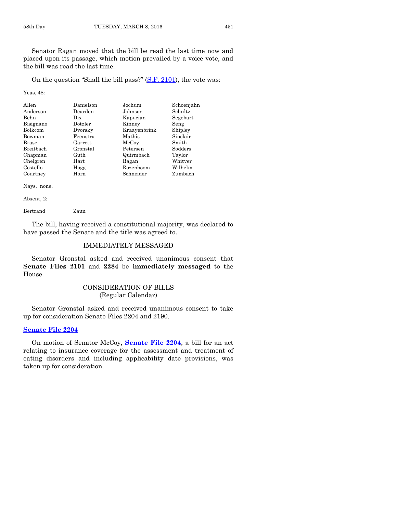Senator Ragan moved that the bill be read the last time now and placed upon its passage, which motion prevailed by a voice vote, and the bill was read the last time.

On the question "Shall the bill pass?" [\(S.F. 2101\)](http://coolice.legis.iowa.gov/Cool-ICE/default.asp?Category=billinfo&Service=Billbook&frame=1&GA=86&hbill=SF2101), the vote was:

Yeas, 48:

| Allen<br>Anderson<br>Behn | Danielson<br>Dearden<br>Dix | Jochum<br>Johnson<br>Kapucian | Schoenjahn<br>Schultz<br>Segebart |
|---------------------------|-----------------------------|-------------------------------|-----------------------------------|
| Bisignano                 | Dotzler                     | Kinney                        | Seng                              |
| Bolkcom                   | Dvorsky                     | Kraayenbrink                  | Shipley                           |
| Bowman                    | Feenstra                    | Mathis                        | Sinclair                          |
| <b>Brase</b>              | Garrett                     | McCoy                         | Smith                             |
| <b>Breithach</b>          | Gronstal                    | Petersen                      | Sodders                           |
| Chapman                   | Guth                        | Quirmbach                     | Taylor                            |
| Chelgren                  | Hart                        | Ragan                         | Whitver                           |
| Costello                  | Hogg                        | Rozenboom                     | Wilhelm                           |
| Courtney                  | Horn                        | Schneider                     | Zumbach                           |

Nays, none.

Absent, 2:

Bertrand Zaun

The bill, having received a constitutional majority, was declared to have passed the Senate and the title was agreed to.

#### IMMEDIATELY MESSAGED

Senator Gronstal asked and received unanimous consent that **Senate Files 2101** and **2284** be **immediately messaged** to the House.

#### CONSIDERATION OF BILLS (Regular Calendar)

Senator Gronstal asked and received unanimous consent to take up for consideration Senate Files 2204 and 2190.

#### **[Senate File 2204](http://coolice.legis.iowa.gov/Cool-ICE/default.asp?Category=billinfo&Service=Billbook&frame=1&GA=86&hbill=SF2204)**

On motion of Senator McCoy, **[Senate File 2204](http://coolice.legis.iowa.gov/Cool-ICE/default.asp?Category=billinfo&Service=Billbook&frame=1&GA=86&hbill=SF2204)**, a bill for an act relating to insurance coverage for the assessment and treatment of eating disorders and including applicability date provisions, was taken up for consideration.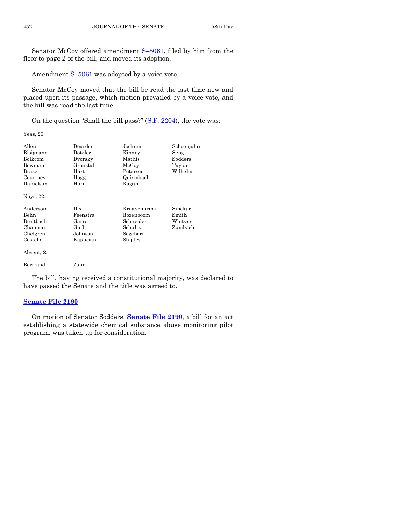Senator McCoy offered amendment S–[5061,](http://coolice.legis.iowa.gov/Cool-ICE/default.asp?Category=billinfo&Service=Billbook&frame=1&GA=86&hbill=S5061) filed by him from the floor to page 2 of the bill, and moved its adoption.

Amendment S-[5061](http://coolice.legis.iowa.gov/Cool-ICE/default.asp?Category=billinfo&Service=Billbook&frame=1&GA=86&hbill=S5061) was adopted by a voice vote.

Senator McCoy moved that the bill be read the last time now and placed upon its passage, which motion prevailed by a voice vote, and the bill was read the last time.

On the question "Shall the bill pass?" [\(S.F. 2204\)](http://coolice.legis.iowa.gov/Cool-ICE/default.asp?Category=billinfo&Service=Billbook&frame=1&GA=86&hbill=SF2204), the vote was:

Yeas, 26:

| Allen      | Dearden  | Jochum       | Schoenjahn    |
|------------|----------|--------------|---------------|
| Bisignano  | Dotzler  | Kinney       | Seng          |
| Bolkcom    | Dvorsky  | Mathis       | Sodders       |
| Bowman     | Gronstal | McCoy        | Taylor        |
| Brase      | Hart     | Petersen     | Wilhelm       |
| Courtney   | Hogg     | Quirmbach    |               |
| Danielson  | Horn     | Ragan        |               |
| Nays, 22:  |          |              |               |
| Anderson   | Dix      | Kraavenbrink | Sinclair      |
| Behn       | Feenstra | Rozenboom    | Smith         |
| Breitbach  | Garrett  | Schneider    | $\rm Whitter$ |
| Chapman    | Guth     | Schultz      | Zumbach       |
| Chelgren   | Johnson  | Segebart     |               |
| Costello   | Kapucian | Shipley      |               |
| Absent, 2: |          |              |               |
| Bertrand   | Zaun     |              |               |
|            |          |              |               |

The bill, having received a constitutional majority, was declared to have passed the Senate and the title was agreed to.

#### **[Senate File 2190](http://coolice.legis.iowa.gov/Cool-ICE/default.asp?Category=billinfo&Service=Billbook&frame=1&GA=86&hbill=SF2190)**

On motion of Senator Sodders, **[Senate File 2190](http://coolice.legis.iowa.gov/Cool-ICE/default.asp?Category=billinfo&Service=Billbook&frame=1&GA=86&hbill=SF2190)**, a bill for an act establishing a statewide chemical substance abuse monitoring pilot program, was taken up for consideration.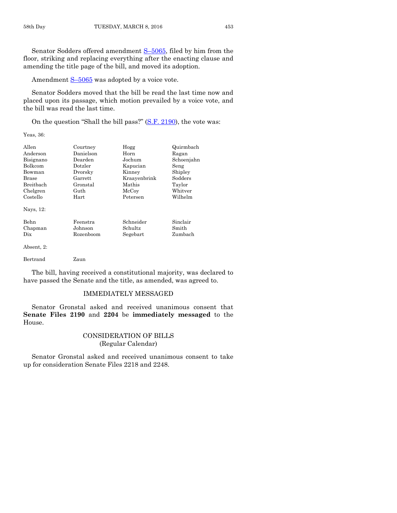Amendment  $S-5065$  $S-5065$  was adopted by a voice vote.

Senator Sodders moved that the bill be read the last time now and placed upon its passage, which motion prevailed by a voice vote, and the bill was read the last time.

On the question "Shall the bill pass?" [\(S.F. 2190\)](http://coolice.legis.iowa.gov/Cool-ICE/default.asp?Category=billinfo&Service=Billbook&frame=1&GA=86&hbill=SF2190), the vote was:

Yeas, 36:

| Allen            | Courtney  | Hogg         | Quirmbach  |
|------------------|-----------|--------------|------------|
| Anderson         | Danielson | Horn         | Ragan      |
| Bisignano        | Dearden   | Jochum       | Schoenjahn |
| <b>Bolkcom</b>   | Dotzler   | Kapucian     | Seng       |
| Bowman           | Dvorsky   | Kinney       | Shipley    |
| Brase            | Garrett   | Kraayenbrink | Sodders    |
| <b>Breithach</b> | Gronstal  | Mathis       | Taylor     |
| Chelgren         | Guth      | McCoy        | Whitver    |
| Costello         | Hart      | Petersen     | Wilhelm    |
| Nays, 12:        |           |              |            |
| <b>Behn</b>      | Feenstra  | Schneider    | Sinclair   |
| Chapman          | Johnson   | Schultz      | Smith      |
| Dix              | Rozenboom | Segebart     | Zumbach    |
|                  |           |              |            |

Absent, 2:

Bertrand Zaun

The bill, having received a constitutional majority, was declared to have passed the Senate and the title, as amended, was agreed to.

#### IMMEDIATELY MESSAGED

Senator Gronstal asked and received unanimous consent that **Senate Files 2190** and **2204** be **immediately messaged** to the House.

#### CONSIDERATION OF BILLS (Regular Calendar)

Senator Gronstal asked and received unanimous consent to take up for consideration Senate Files 2218 and 2248.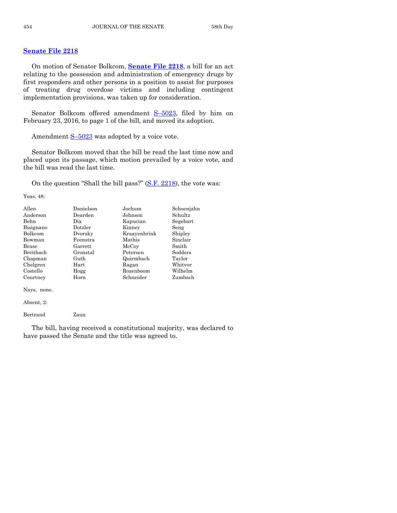#### **[Senate File 2218](http://coolice.legis.iowa.gov/Cool-ICE/default.asp?Category=billinfo&Service=Billbook&frame=1&GA=86&hbill=SF2218)**

On motion of Senator Bolkcom, **[Senate File 2218](http://coolice.legis.iowa.gov/Cool-ICE/default.asp?Category=billinfo&Service=Billbook&frame=1&GA=86&hbill=SF2218)**, a bill for an act relating to the possession and administration of emergency drugs by first responders and other persons in a position to assist for purposes of treating drug overdose victims and including contingent implementation provisions, was taken up for consideration.

Senator Bolkcom offered amendment  $S-5023$ , filed by him on February 23, 2016, to page 1 of the bill, and moved its adoption.

Amendment  $S-5023$  $S-5023$  was adopted by a voice vote.

Senator Bolkcom moved that the bill be read the last time now and placed upon its passage, which motion prevailed by a voice vote, and the bill was read the last time.

On the question "Shall the bill pass?" [\(S.F. 2218\)](http://coolice.legis.iowa.gov/Cool-ICE/default.asp?Category=billinfo&Service=Billbook&frame=1&GA=86&hbill=SF2218), the vote was:

Yeas, 48:

| Allen        | Danielson        | Jochum       | Schoenjahn |
|--------------|------------------|--------------|------------|
| Anderson     | Dearden          | Johnson      | Schultz    |
| <b>Behn</b>  | Dix              | Kapucian     | Segebart   |
| Bisignano    | $_{\rm Dotzler}$ | Kinney       | Seng       |
| Bolkcom      | Dvorsky          | Kraayenbrink | Shipley    |
| Bowman       | Feenstra         | Mathis       | Sinclair   |
| <b>Brase</b> | Garrett          | McCoy        | Smith      |
| Breitbach    | Gronstal         | Petersen     | Sodders    |
| Chapman      | Guth             | Quirmbach    | Taylor     |
| Chelgren     | Hart             | Ragan        | Whitver    |
| Costello     | Hogg             | Rozenboom    | Wilhelm    |
| Courtney     | Horn             | Schneider    | Zumbach    |

Nays, none.

Absent, 2:

Bertrand Zaun

The bill, having received a constitutional majority, was declared to have passed the Senate and the title was agreed to.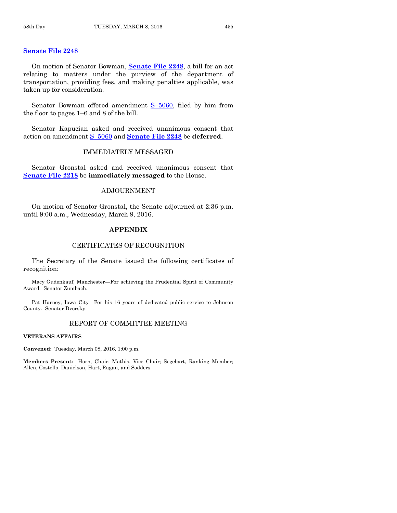#### **[Senate File 2248](http://coolice.legis.iowa.gov/Cool-ICE/default.asp?Category=billinfo&Service=Billbook&frame=1&GA=86&hbill=SF2248)**

On motion of Senator Bowman, **[Senate File 2248](http://coolice.legis.iowa.gov/Cool-ICE/default.asp?Category=billinfo&Service=Billbook&frame=1&GA=86&hbill=SF2248)**, a bill for an act relating to matters under the purview of the department of transportation, providing fees, and making penalties applicable, was taken up for consideration.

Senator Bowman offered amendment S–[5060,](http://coolice.legis.iowa.gov/Cool-ICE/default.asp?Category=billinfo&Service=Billbook&frame=1&GA=86&hbill=S5060) filed by him from the floor to pages 1–6 and 8 of the bill.

Senator Kapucian asked and received unanimous consent that action on amendment S–[5060](http://coolice.legis.iowa.gov/Cool-ICE/default.asp?Category=billinfo&Service=Billbook&frame=1&GA=86&hbill=S5060) and **[Senate File 2248](http://coolice.legis.iowa.gov/Cool-ICE/default.asp?Category=billinfo&Service=Billbook&frame=1&GA=86&hbill=SF2248)** be **deferred**.

#### IMMEDIATELY MESSAGED

Senator Gronstal asked and received unanimous consent that **[Senate File 2218](http://coolice.legis.iowa.gov/Cool-ICE/default.asp?Category=billinfo&Service=Billbook&frame=1&GA=86&hbill=SF2218)** be **immediately messaged** to the House.

#### ADJOURNMENT

On motion of Senator Gronstal, the Senate adjourned at 2:36 p.m. until 9:00 a.m., Wednesday, March 9, 2016.

#### **APPENDIX**

#### CERTIFICATES OF RECOGNITION

The Secretary of the Senate issued the following certificates of recognition:

Macy Gudenkauf, Manchester—For achieving the Prudential Spirit of Community Award. Senator Zumbach.

Pat Harney, Iowa City—For his 16 years of dedicated public service to Johnson County. Senator Dvorsky.

#### REPORT OF COMMITTEE MEETING

#### **VETERANS AFFAIRS**

**Convened:** Tuesday, March 08, 2016, 1:00 p.m.

**Members Present:** Horn, Chair; Mathis, Vice Chair; Segebart, Ranking Member; Allen, Costello, Danielson, Hart, Ragan, and Sodders.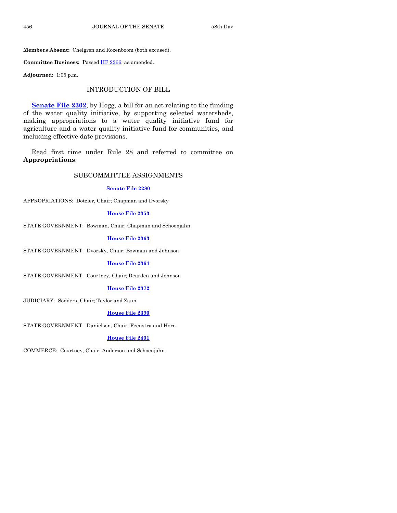**Members Absent:** Chelgren and Rozenboom (both excused).

Committee Business: Passed **HF 2266**, as amended.

**Adjourned:** 1:05 p.m.

#### INTRODUCTION OF BILL

**[Senate File 2302](http://coolice.legis.iowa.gov/Cool-ICE/default.asp?Category=billinfo&Service=Billbook&frame=1&GA=86&hbill=SF2302)**, by Hogg, a bill for an act relating to the funding of the water quality initiative, by supporting selected watersheds, making appropriations to a water quality initiative fund for agriculture and a water quality initiative fund for communities, and including effective date provisions.

Read first time under Rule 28 and referred to committee on **Appropriations**.

#### SUBCOMMITTEE ASSIGNMENTS

#### **[Senate File 2280](http://coolice.legis.iowa.gov/Cool-ICE/default.asp?Category=billinfo&Service=Billbook&frame=1&GA=86&hbill=SF2280)**

APPROPRIATIONS: Dotzler, Chair; Chapman and Dvorsky

#### **[House File 2353](http://coolice.legis.iowa.gov/Cool-ICE/default.asp?Category=billinfo&Service=Billbook&frame=1&GA=86&hbill=HF2353)**

STATE GOVERNMENT: Bowman, Chair; Chapman and Schoenjahn

**[House File 2363](http://coolice.legis.iowa.gov/Cool-ICE/default.asp?Category=billinfo&Service=Billbook&frame=1&GA=86&hbill=HF2363)**

STATE GOVERNMENT: Dvorsky, Chair; Bowman and Johnson

**[House File 2364](http://coolice.legis.iowa.gov/Cool-ICE/default.asp?Category=billinfo&Service=Billbook&frame=1&GA=86&hbill=HF2364)**

STATE GOVERNMENT: Courtney, Chair; Dearden and Johnson

#### **[House File 2372](http://coolice.legis.iowa.gov/Cool-ICE/default.asp?Category=billinfo&Service=Billbook&frame=1&GA=86&hbill=HF2372)**

JUDICIARY: Sodders, Chair; Taylor and Zaun

#### **[House File 2390](http://coolice.legis.iowa.gov/Cool-ICE/default.asp?Category=billinfo&Service=Billbook&frame=1&GA=86&hbill=HF2390)**

STATE GOVERNMENT: Danielson, Chair; Feenstra and Horn

#### **[House File 2401](http://coolice.legis.iowa.gov/Cool-ICE/default.asp?Category=billinfo&Service=Billbook&frame=1&GA=86&hbill=HF2401)**

COMMERCE: Courtney, Chair; Anderson and Schoenjahn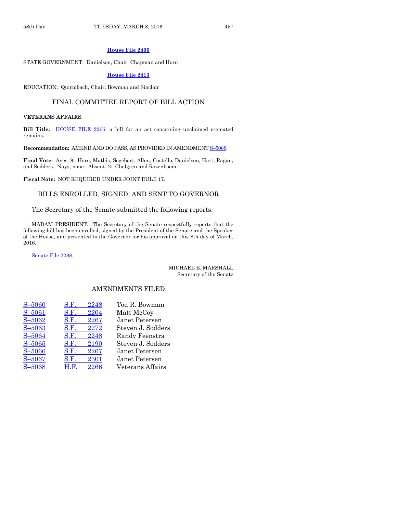#### **[House File 2406](http://coolice.legis.iowa.gov/Cool-ICE/default.asp?Category=billinfo&Service=Billbook&frame=1&GA=86&hbill=HF2406)**

STATE GOVERNMENT: Danielson, Chair; Chapman and Horn

#### **[House File 2413](http://coolice.legis.iowa.gov/Cool-ICE/default.asp?Category=billinfo&Service=Billbook&frame=1&GA=86&hbill=HF2413)**

EDUCATION: Quirmbach, Chair; Bowman and Sinclair

#### FINAL COMMITTEE REPORT OF BILL ACTION

#### **VETERANS AFFAIRS**

Bill Title: **HOUSE FILE 2266**, a bill for an act concerning unclaimed cremated remains.

**Recommendation:** AMEND AND DO PASS, AS PROVIDED IN AMENDMENT S–[5068.](http://coolice.legis.iowa.gov/Cool-ICE/default.asp?Category=billinfo&Service=Billbook&frame=1&GA=86&hbill=S5068)

**Final Vote:** Ayes, 9: Horn, Mathis, Segebart, Allen, Costello, Danielson, Hart, Ragan, and Sodders. Nays, none. Absent, 2: Chelgren and Rozenboom.

**Fiscal Note:** NOT REQUIRED UNDER JOINT RULE 17.

#### BILLS ENROLLED, SIGNED, AND SENT TO GOVERNOR

#### The Secretary of the Senate submitted the following reports:

MADAM PRESIDENT: The Secretary of the Senate respectfully reports that the following bill has been enrolled, signed by the President of the Senate and the Speaker of the House, and presented to the Governor for his approval on this 8th day of March, 2016.

[Senate File](http://coolice.legis.iowa.gov/Cool-ICE/default.asp?Category=billinfo&Service=Billbook&frame=1&GA=86&hbill=SF2288) 2288.

#### MICHAEL E. MARSHALL Secretary of the Senate

#### AMENDMENTS FILED

| S-5060     | 2248<br>S.F. | Tod R. Bowman     |
|------------|--------------|-------------------|
| S-5061     | 2204<br>S.F. | Matt McCoy        |
| $S - 5062$ | 2267<br>S.F. | Janet Petersen    |
| $S - 5063$ | 2272<br>S.F. | Steven J. Sodders |
| $S - 5064$ | 2248<br>S.F. | Randy Feenstra    |
| $S - 5065$ | S.F.<br>2190 | Steven J. Sodders |
| $S - 5066$ | 2267<br>S.F. | Janet Petersen    |
| S-5067     | S.F.<br>2301 | Janet Petersen    |
| S-5068     | 2266<br>H.F. | Veterans Affairs  |
|            |              |                   |